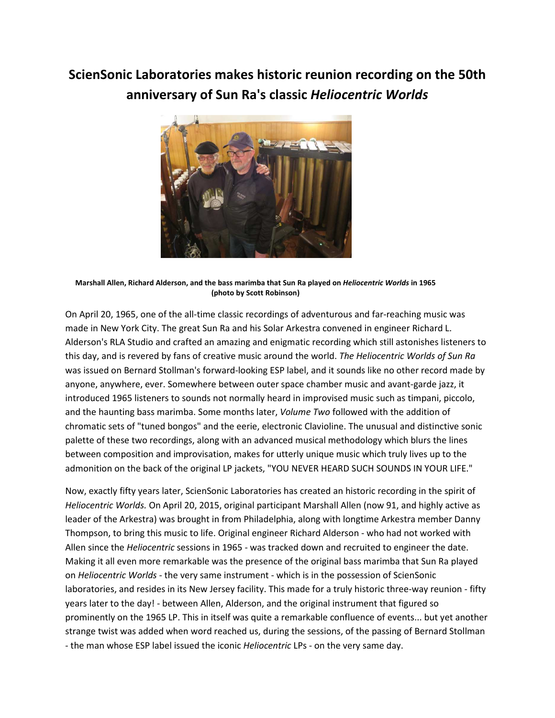## **ScienSonic Laboratories makes historic reunion recording on the 50th anniversary of Sun Ra's classic** *Heliocentric Worlds*



**Marshall Allen, Richard Alderson, and the bass marimba that Sun Ra played on** *Heliocentric Worlds* **in 1965 (photo by Scott Robinson)**

On April 20, 1965, one of the all-time classic recordings of adventurous and far-reaching music was made in New York City. The great Sun Ra and his Solar Arkestra convened in engineer Richard L. Alderson's RLA Studio and crafted an amazing and enigmatic recording which still astonishes listeners to this day, and is revered by fans of creative music around the world. *The Heliocentric Worlds of Sun Ra*  was issued on Bernard Stollman's forward-looking ESP label, and it sounds like no other record made by anyone, anywhere, ever. Somewhere between outer space chamber music and avant-garde jazz, it introduced 1965 listeners to sounds not normally heard in improvised music such as timpani, piccolo, and the haunting bass marimba. Some months later, *Volume Two* followed with the addition of chromatic sets of "tuned bongos" and the eerie, electronic Clavioline. The unusual and distinctive sonic palette of these two recordings, along with an advanced musical methodology which blurs the lines between composition and improvisation, makes for utterly unique music which truly lives up to the admonition on the back of the original LP jackets, "YOU NEVER HEARD SUCH SOUNDS IN YOUR LIFE."

Now, exactly fifty years later, ScienSonic Laboratories has created an historic recording in the spirit of *Heliocentric Worlds.* On April 20, 2015, original participant Marshall Allen (now 91, and highly active as leader of the Arkestra) was brought in from Philadelphia, along with longtime Arkestra member Danny Thompson, to bring this music to life. Original engineer Richard Alderson - who had not worked with Allen since the *Heliocentric* sessions in 1965 - was tracked down and recruited to engineer the date. Making it all even more remarkable was the presence of the original bass marimba that Sun Ra played on *Heliocentric Worlds* - the very same instrument - which is in the possession of ScienSonic laboratories, and resides in its New Jersey facility. This made for a truly historic three-way reunion - fifty years later to the day! - between Allen, Alderson, and the original instrument that figured so prominently on the 1965 LP. This in itself was quite a remarkable confluence of events... but yet another strange twist was added when word reached us, during the sessions, of the passing of Bernard Stollman - the man whose ESP label issued the iconic *Heliocentric* LPs - on the very same day.